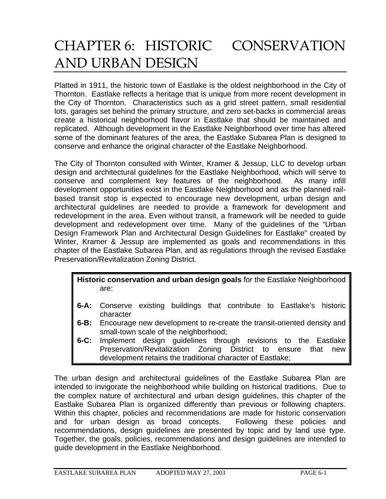# CHAPTER 6: HISTORIC CONSERVATION AND URBAN DESIGN

Platted in 1911, the historic town of Eastlake is the oldest neighborhood in the City of Thornton. Eastlake reflects a heritage that is unique from more recent development in the City of Thornton. Characteristics such as a grid street pattern, small residential lots, garages set behind the primary structure, and zero set-backs in commercial areas create a historical neighborhood flavor in Eastlake that should be maintained and replicated. Although development in the Eastlake Neighborhood over time has altered some of the dominant features of the area, the Eastlake Subarea Plan is designed to conserve and enhance the original character of the Eastlake Neighborhood.

The City of Thornton consulted with Winter, Kramer & Jessup, LLC to develop urban design and architectural guidelines for the Eastlake Neighborhood, which will serve to conserve and complement key features of the neighborhood. As many infill development opportunities exist in the Eastlake Neighborhood and as the planned railbased transit stop is expected to encourage new development, urban design and architectural guidelines are needed to provide a framework for development and redevelopment in the area. Even without transit, a framework will be needed to guide development and redevelopment over time. Many of the guidelines of the "Urban Design Framework Plan and Architectural Design Guidelines for Eastlake" created by Winter, Kramer & Jessup are implemented as goals and recommendations in this chapter of the Eastlake Subarea Plan, and as regulations through the revised Eastlake Preservation/Revitalization Zoning District.

# **Historic conservation and urban design goals** for the Eastlake Neighborhood are:

- **6-A:** Conserve existing buildings that contribute to Eastlake's historic character
- **6-B:** Encourage new development to re-create the transit-oriented density and small-town scale of the neighborhood;
- **6-C:** Implement design guidelines through revisions to the Eastlake Preservation/Revitalization Zoning District to ensure that new development retains the traditional character of Eastlake;

The urban design and architectural guidelines of the Eastlake Subarea Plan are intended to invigorate the neighborhood while building on historical traditions. Due to the complex nature of architectural and urban design guidelines, this chapter of the Eastlake Subarea Plan is organized differently than previous or following chapters. Within this chapter, policies and recommendations are made for historic conservation and for urban design as broad concepts. Following these policies and recommendations, design guidelines are presented by topic and by land use type. Together, the goals, policies, recommendations and design guidelines are intended to guide development in the Eastlake Neighborhood.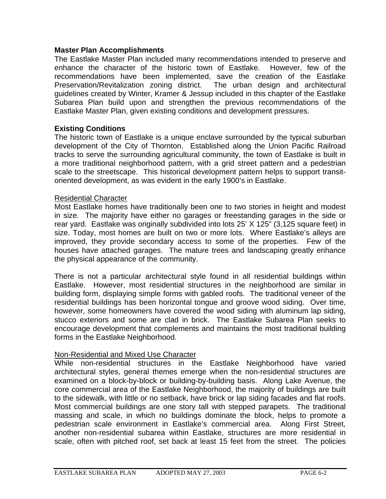#### **Master Plan Accomplishments**

The Eastlake Master Plan included many recommendations intended to preserve and enhance the character of the historic town of Eastlake. However, few of the recommendations have been implemented, save the creation of the Eastlake Preservation/Revitalization zoning district. The urban design and architectural guidelines created by Winter, Kramer & Jessup included in this chapter of the Eastlake Subarea Plan build upon and strengthen the previous recommendations of the Eastlake Master Plan, given existing conditions and development pressures.

## **Existing Conditions**

The historic town of Eastlake is a unique enclave surrounded by the typical suburban development of the City of Thornton. Established along the Union Pacific Railroad tracks to serve the surrounding agricultural community, the town of Eastlake is built in a more traditional neighborhood pattern, with a grid street pattern and a pedestrian scale to the streetscape. This historical development pattern helps to support transitoriented development, as was evident in the early 1900's in Eastlake.

#### Residential Character

Most Eastlake homes have traditionally been one to two stories in height and modest in size. The majority have either no garages or freestanding garages in the side or rear yard. Eastlake was originally subdivided into lots 25' X 125" (3,125 square feet) in size. Today, most homes are built on two or more lots. Where Eastlake's alleys are improved, they provide secondary access to some of the properties. Few of the houses have attached garages. The mature trees and landscaping greatly enhance the physical appearance of the community.

There is not a particular architectural style found in all residential buildings within Eastlake. However, most residential structures in the neighborhood are similar in building form, displaying simple forms with gabled roofs. The traditional veneer of the residential buildings has been horizontal tongue and groove wood siding. Over time, however, some homeowners have covered the wood siding with aluminum lap siding, stucco exteriors and some are clad in brick. The Eastlake Subarea Plan seeks to encourage development that complements and maintains the most traditional building forms in the Eastlake Neighborhood.

## Non-Residential and Mixed Use Character

While non-residential structures in the Eastlake Neighborhood have varied architectural styles, general themes emerge when the non-residential structures are examined on a block-by-block or building-by-building basis. Along Lake Avenue, the core commercial area of the Eastlake Neighborhood, the majority of buildings are built to the sidewalk, with little or no setback, have brick or lap siding facades and flat roofs. Most commercial buildings are one story tall with stepped parapets. The traditional massing and scale, in which no buildings dominate the block, helps to promote a pedestrian scale environment in Eastlake's commercial area. Along First Street, another non-residential subarea within Eastlake, structures are more residential in scale, often with pitched roof, set back at least 15 feet from the street. The policies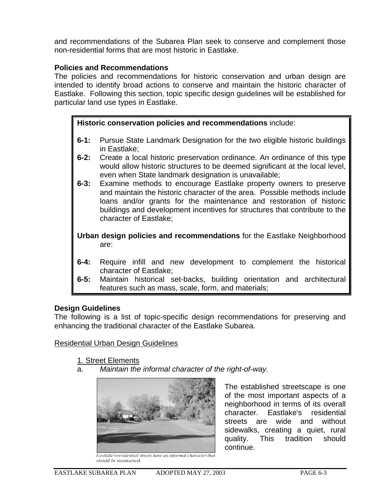and recommendations of the Subarea Plan seek to conserve and complement those non-residential forms that are most historic in Eastlake.

# **Policies and Recommendations**

The policies and recommendations for historic conservation and urban design are intended to identify broad actions to conserve and maintain the historic character of Eastlake. Following this section, topic specific design guidelines will be established for particular land use types in Eastlake.

# **Historic conservation policies and recommendations** include:

- **6-1:** Pursue State Landmark Designation for the two eligible historic buildings in Eastlake;
- **6-2:** Create a local historic preservation ordinance. An ordinance of this type would allow historic structures to be deemed significant at the local level, even when State landmark designation is unavailable;
- **6-3:** Examine methods to encourage Eastlake property owners to preserve and maintain the historic character of the area. Possible methods include loans and/or grants for the maintenance and restoration of historic buildings and development incentives for structures that contribute to the character of Eastlake;

**Urban design policies and recommendations** for the Eastlake Neighborhood are:

- **6-4:** Require infill and new development to complement the historical character of Eastlake;
- **6-5:** Maintain historical set-backs, building orientation and architectural features such as mass, scale, form, and materials;

## **Design Guidelines**

The following is a list of topic-specific design recommendations for preserving and enhancing the traditional character of the Eastlake Subarea.

## Residential Urban Design Guidelines

- 1. Street Elements
- a. *Maintain the informal character of the right-of-way.*



The established streetscape is one of the most important aspects of a neighborhood in terms of its overall character. Eastlake's residential streets are wide and without sidewalks, creating a quiet, rural quality. This tradition should continue.

Eastlake's residential streets have an informal character that should be maintained.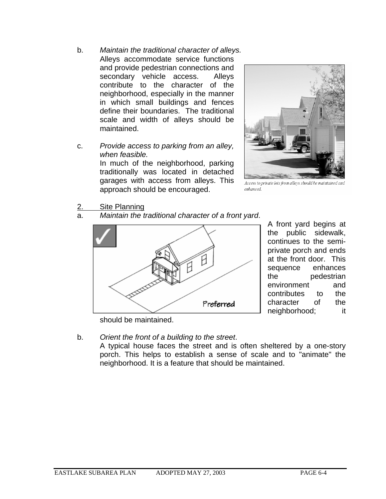- b. *Maintain the traditional character of alleys.* Alleys accommodate service functions and provide pedestrian connections and secondary vehicle access. Alleys contribute to the character of the neighborhood, especially in the manner in which small buildings and fences define their boundaries. The traditional scale and width of alleys should be maintained.
- c. *Provide access to parking from an alley, when feasible.*

In much of the neighborhood, parking traditionally was located in detached garages with access from alleys. This approach should be encouraged.



Access to private lots from alleys should be maintained and enhanced.

- 2. Site Planning
- a. *Maintain the traditional character of a front yard*.



A front yard begins at the public sidewalk, continues to the semiprivate porch and ends at the front door. This sequence enhances the pedestrian environment and contributes to the character of the neighborhood; it

should be maintained.

b. *Orient the front of a building to the street*.

A typical house faces the street and is often sheltered by a one-story porch. This helps to establish a sense of scale and to "animate" the neighborhood. It is a feature that should be maintained.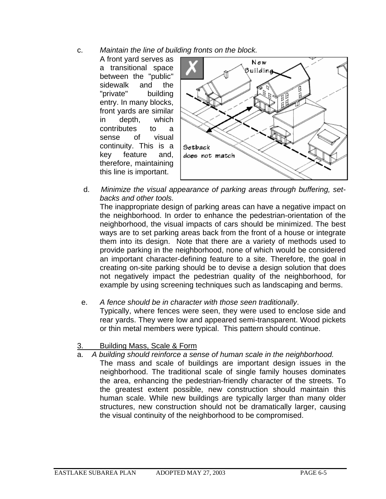- c. *Maintain the line of building fronts on the block.* 
	- A front yard serves as a transitional space between the "public" sidewalk and the "private" building entry. In many blocks, front yards are similar in depth, which contributes to a sense of visual continuity. This is a key feature and, therefore, maintaining this line is important.



 d. *Minimize the visual appearance of parking areas through buffering, setbacks and other tools.* 

The inappropriate design of parking areas can have a negative impact on the neighborhood. In order to enhance the pedestrian-orientation of the neighborhood, the visual impacts of cars should be minimized. The best ways are to set parking areas back from the front of a house or integrate them into its design. Note that there are a variety of methods used to provide parking in the neighborhood, none of which would be considered an important character-defining feature to a site. Therefore, the goal in creating on-site parking should be to devise a design solution that does not negatively impact the pedestrian quality of the neighborhood, for example by using screening techniques such as landscaping and berms.

e. *A fence should be in character with those seen traditionally*.

Typically, where fences were seen, they were used to enclose side and rear yards. They were low and appeared semi-transparent. Wood pickets or thin metal members were typical. This pattern should continue.

- 3. Building Mass, Scale & Form
- a. *A building should reinforce a sense of human scale in the neighborhood.*
- The mass and scale of buildings are important design issues in the neighborhood. The traditional scale of single family houses dominates the area, enhancing the pedestrian-friendly character of the streets. To the greatest extent possible, new construction should maintain this human scale. While new buildings are typically larger than many older structures, new construction should not be dramatically larger, causing the visual continuity of the neighborhood to be compromised.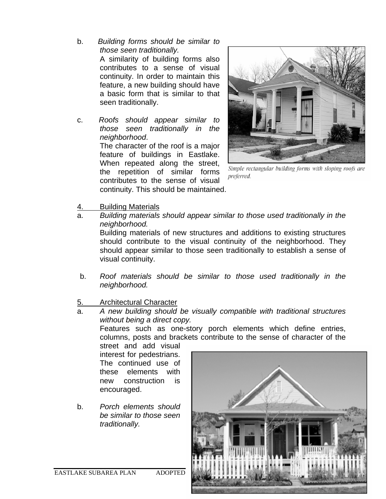- b. *Building forms should be similar to those seen traditionally.* A similarity of building forms also contributes to a sense of visual continuity. In order to maintain this feature, a new building should have a basic form that is similar to that seen traditionally.
- c. *Roofs should appear similar to those seen traditionally in the neighborhood*. The character of the roof is a major feature of buildings in Eastlake. When repeated along the street, the repetition of similar forms contributes to the sense of visual

continuity. This should be maintained.



Simple rectangular building forms with sloping roofs are preferred.

- 4. Building Materials
- a. *Building materials should appear similar to those used traditionally in the neighborhood.*  Building materials of new structures and additions to existing structures should contribute to the visual continuity of the neighborhood. They should appear similar to those seen traditionally to establish a sense of visual continuity.
- b. *Roof materials should be similar to those used traditionally in the neighborhood.*

# 5. Architectural Character

a. *A new building should be visually compatible with traditional structures without being a direct copy.* 

Features such as one-story porch elements which define entries, columns, posts and brackets contribute to the sense of character of the

street and add visual interest for pedestrians. The continued use of these elements with new construction is encouraged.

b. *Porch elements should be similar to those seen traditionally.* 

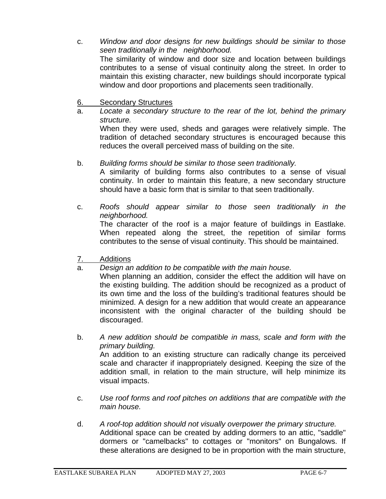- c. *Window and door designs for new buildings should be similar to those seen traditionally in the neighborhood.*  The similarity of window and door size and location between buildings contributes to a sense of visual continuity along the street. In order to maintain this existing character, new buildings should incorporate typical window and door proportions and placements seen traditionally.
- 6. Secondary Structures
- a. *Locate a secondary structure to the rear of the lot, behind the primary structure.*  When they were used, sheds and garages were relatively simple. The tradition of detached secondary structures is encouraged because this reduces the overall perceived mass of building on the site.
- b. *Building forms should be similar to those seen traditionally.*

A similarity of building forms also contributes to a sense of visual continuity. In order to maintain this feature, a new secondary structure should have a basic form that is similar to that seen traditionally.

- c. *Roofs should appear similar to those seen traditionally in the neighborhood.*  The character of the roof is a major feature of buildings in Eastlake. When repeated along the street, the repetition of similar forms contributes to the sense of visual continuity. This should be maintained.
- 7. Additions
- a. *Design an addition to be compatible with the main house.*

When planning an addition, consider the effect the addition will have on the existing building. The addition should be recognized as a product of its own time and the loss of the building's traditional features should be minimized. A design for a new addition that would create an appearance inconsistent with the original character of the building should be discouraged.

- b. *A new addition should be compatible in mass, scale and form with the primary building.* An addition to an existing structure can radically change its perceived scale and character if inappropriately designed. Keeping the size of the addition small, in relation to the main structure, will help minimize its visual impacts.
- c. *Use roof forms and roof pitches on additions that are compatible with the main house.*
- d. *A roof-top addition should not visually overpower the primary structure.*  Additional space can be created by adding dormers to an attic, "saddle" dormers or "camelbacks" to cottages or "monitors" on Bungalows. If these alterations are designed to be in proportion with the main structure,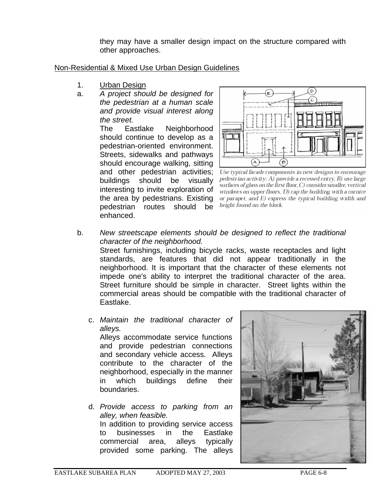they may have a smaller design impact on the structure compared with other approaches.

## Non-Residential & Mixed Use Urban Design Guidelines

- 1. Urban Design
- a. *A project should be designed for the pedestrian at a human scale and provide visual interest along the street.*

The Eastlake Neighborhood should continue to develop as a pedestrian-oriented environment. Streets, sidewalks and pathways should encourage walking, sitting and other pedestrian activities; buildings should be visually interesting to invite exploration of the area by pedestrians. Existing pedestrian routes should be enhanced.



Use typical facade components in new designs to encourage pedestrian activity: A) provide a recessed entry, B) use large surfaces of glass on the first floor, C) consider smaller, vertical windows on upper floors, D) cap the building with a cornice or parapet, and  $E$ ) express the typical building width and height found on the block.

- b. *New streetscape elements should be designed to reflect the traditional character of the neighborhood.*  Street furnishings, including bicycle racks, waste receptacles and light standards, are features that did not appear traditionally in the neighborhood. It is important that the character of these elements not impede one's ability to interpret the traditional character of the area. Street furniture should be simple in character. Street lights within the commercial areas should be compatible with the traditional character of Eastlake.
	- c. *Maintain the traditional character of alleys.* Alleys accommodate service functions and provide pedestrian connections and secondary vehicle access. Alleys contribute to the character of the neighborhood, especially in the manner
	- in which buildings define their boundaries. d. *Provide access to parking from an alley, when feasible.*  In addition to providing service access

to businesses in the Eastlake commercial area, alleys typically provided some parking. The alleys

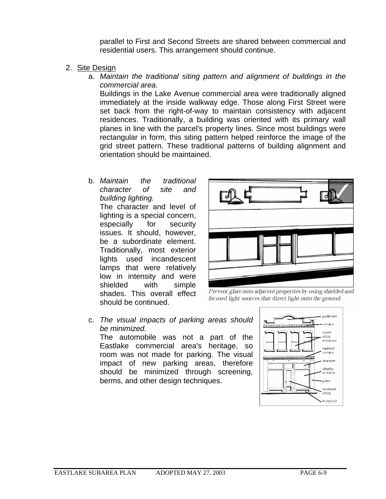parallel to First and Second Streets are shared between commercial and residential users. This arrangement should continue.

- 2. Site Design
	- a. *Maintain the traditional siting pattern and alignment of buildings in the commercial area.*

Buildings in the Lake Avenue commercial area were traditionally aligned immediately at the inside walkway edge. Those along First Street were set back from the right-of-way to maintain consistency with adjacent residences. Traditionally, a building was oriented with its primary wall planes in line with the parcel's property lines. Since most buildings were rectangular in form, this siting pattern helped reinforce the image of the grid street pattern. These traditional patterns of building alignment and orientation should be maintained.

b. *Maintain the traditional character of site and building lighting.* 

The character and level of lighting is a special concern, especially for security issues. It should, however, be a subordinate element. Traditionally, most exterior lights used incandescent lamps that were relatively low in intensity and were shielded with simple shades. This overall effect should be continued.



Prevent glare onto adjacent properties by using shielded and focused light sources that direct light onto the ground.

c. *The visual impacts of parking areas should be minimized.* 

The automobile was not a part of the Eastlake commercial area's heritage, so room was not made for parking. The visual impact of new parking areas, therefore should be minimized through screening, berms, and other design techniques.

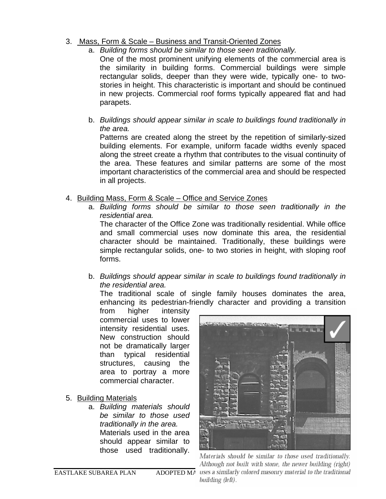# 3. Mass, Form & Scale – Business and Transit-Oriented Zones

a. *Building forms should be similar to those seen traditionally.* 

One of the most prominent unifying elements of the commercial area is the similarity in building forms. Commercial buildings were simple rectangular solids, deeper than they were wide, typically one- to twostories in height. This characteristic is important and should be continued in new projects. Commercial roof forms typically appeared flat and had parapets.

b. *Buildings should appear similar in scale to buildings found traditionally in the area.* 

Patterns are created along the street by the repetition of similarly-sized building elements. For example, uniform facade widths evenly spaced along the street create a rhythm that contributes to the visual continuity of the area. These features and similar patterns are some of the most important characteristics of the commercial area and should be respected in all projects.

- 4. Building Mass, Form & Scale Office and Service Zones
	- a. *Building forms should be similar to those seen traditionally in the residential area.*

The character of the Office Zone was traditionally residential. While office and small commercial uses now dominate this area, the residential character should be maintained. Traditionally, these buildings were simple rectangular solids, one- to two stories in height, with sloping roof forms.

b. *Buildings should appear similar in scale to buildings found traditionally in the residential area.* 

The traditional scale of single family houses dominates the area, enhancing its pedestrian-friendly character and providing a transition

from higher intensity commercial uses to lower intensity residential uses. New construction should not be dramatically larger than typical residential structures, causing the area to portray a more commercial character.

- 5. Building Materials
	- a. *Building materials should be similar to those used traditionally in the area.*  Materials used in the area should appear similar to those used traditionally.



Materials should be similar to those used traditionally. Although not built with stone, the newer building (right) EASTLAKE SUBAREA PLAN ADOPTED MAY uses a similarly colored masonry material to the traditional building (left).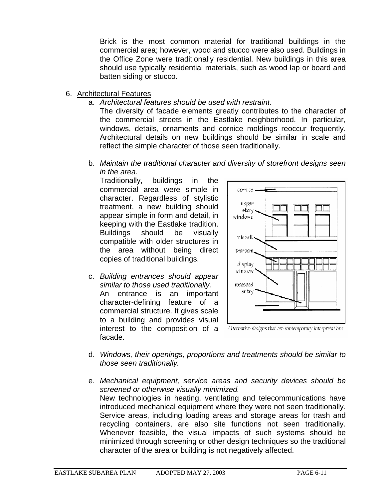Brick is the most common material for traditional buildings in the commercial area; however, wood and stucco were also used. Buildings in the Office Zone were traditionally residential. New buildings in this area should use typically residential materials, such as wood lap or board and batten siding or stucco.

- 6. Architectural Features
	- a. *Architectural features should be used with restraint.*

The diversity of facade elements greatly contributes to the character of the commercial streets in the Eastlake neighborhood. In particular, windows, details, ornaments and cornice moldings reoccur frequently. Architectural details on new buildings should be similar in scale and reflect the simple character of those seen traditionally.

b. *Maintain the traditional character and diversity of storefront designs seen in the area.* 

Traditionally, buildings in the commercial area were simple in character. Regardless of stylistic treatment, a new building should appear simple in form and detail, in keeping with the Eastlake tradition. Buildings should be visually compatible with older structures in the area without being direct copies of traditional buildings.

c. *Building entrances should appear similar to those used traditionally.*  An entrance is an important character-defining feature of a commercial structure. It gives scale to a building and provides visual interest to the composition of a facade.



Alternative designs that are contemporary interpretations

- d. *Windows, their openings, proportions and treatments should be similar to those seen traditionally.*
- e. *Mechanical equipment, service areas and security devices should be screened or otherwise visually minimized.*  New technologies in heating, ventilating and telecommunications have introduced mechanical equipment where they were not seen traditionally. Service areas, including loading areas and storage areas for trash and recycling containers, are also site functions not seen traditionally. Whenever feasible, the visual impacts of such systems should be minimized through screening or other design techniques so the traditional character of the area or building is not negatively affected.